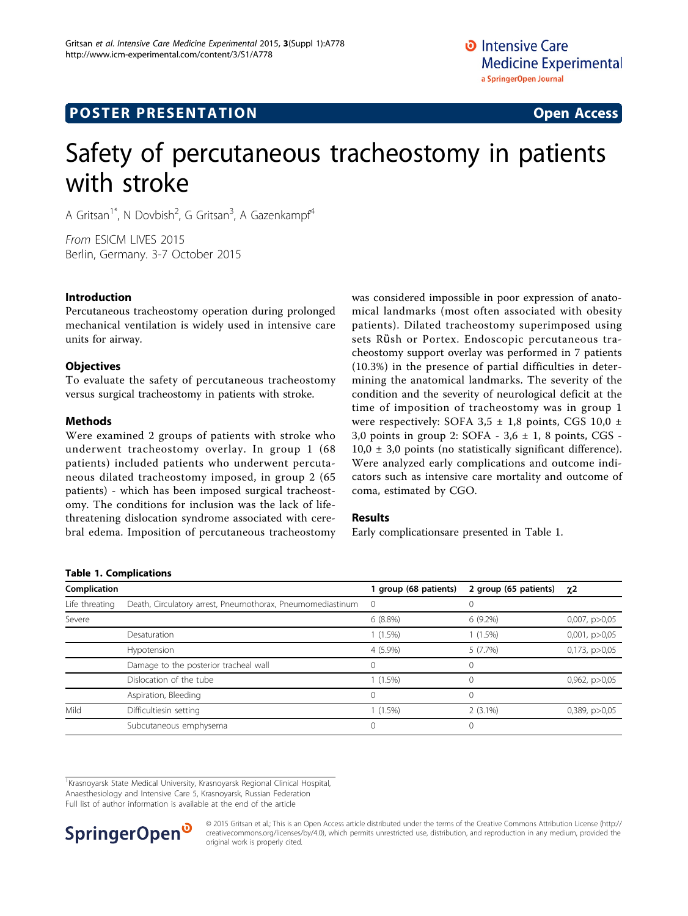# **POSTER PRESENTATION CONSUMING THE SERVICE SERVICE SERVICES**

# Safety of percutaneous tracheostomy in patients with stroke

A Gritsan<sup>1\*</sup>, N Dovbish<sup>2</sup>, G Gritsan<sup>3</sup>, A Gazenkampf<sup>4</sup>

From ESICM LIVES 2015 Berlin, Germany. 3-7 October 2015

# Introduction

Percutaneous tracheostomy operation during prolonged mechanical ventilation is widely used in intensive care units for airway.

# **Objectives**

To evaluate the safety of percutaneous tracheostomy versus surgical tracheostomy in patients with stroke.

# Methods

Were examined 2 groups of patients with stroke who underwent tracheostomy overlay. In group 1 (68 patients) included patients who underwent percutaneous dilated tracheostomy imposed, in group 2 (65 patients) - which has been imposed surgical tracheostomy. The conditions for inclusion was the lack of lifethreatening dislocation syndrome associated with cerebral edema. Imposition of percutaneous tracheostomy was considered impossible in poor expression of anatomical landmarks (most often associated with obesity patients). Dilated tracheostomy superimposed using sets Rüsh or Portex. Endoscopic percutaneous tracheostomy support overlay was performed in 7 patients (10.3%) in the presence of partial difficulties in determining the anatomical landmarks. The severity of the condition and the severity of neurological deficit at the time of imposition of tracheostomy was in group 1 were respectively: SOFA 3,5 ± 1,8 points, CGS 10,0 ± 3,0 points in group 2: SOFA -  $3,6 \pm 1$ , 8 points, CGS - $10,0 \pm 3,0$  points (no statistically significant difference). Were analyzed early complications and outcome indicators such as intensive care mortality and outcome of coma, estimated by CGO.

## Results

Early complicationsare presented in Table 1.

#### Table 1. Complications

| Complication   |                                                            | group (68 patients) | 2 group (65 patients) | $\chi$ 2             |
|----------------|------------------------------------------------------------|---------------------|-----------------------|----------------------|
| Life threating | Death, Circulatory arrest, Pneumothorax, Pneumomediastinum | $\circ$             | 0                     |                      |
| Severe         |                                                            | $6(8.8\%)$          | $6(9.2\%)$            | 0,007, p > 0,05      |
|                | Desaturation                                               | $1(1.5\%)$          | $(1.5\%)$             | $0,001$ , $p > 0,05$ |
|                | Hypotension                                                | $4(5.9\%)$          | 5(7.7%)               | 0,173, p>0,05        |
|                | Damage to the posterior tracheal wall                      | ∩                   | 0                     |                      |
|                | Dislocation of the tube                                    | $1(1.5\%)$          | 0                     | 0,962, p>0,05        |
|                | Aspiration, Bleeding                                       | 0                   | $\Omega$              |                      |
| Mild           | Difficultiesin setting                                     | $1(1.5\%)$          | $2(3.1\%)$            | 0,389, p > 0,05      |
|                | Subcutaneous emphysema                                     |                     | $\Omega$              |                      |

<sup>1</sup> Krasnoyarsk State Medical University, Krasnoyarsk Regional Clinical Hospital, Anaesthesiology and Intensive Care 5, Krasnoyarsk, Russian Federation Full list of author information is available at the end of the article

SpringerOpen<sup>®</sup>

© 2015 Gritsan et al.; This is an Open Access article distributed under the terms of the Creative Commons Attribution License [\(http://](http://creativecommons.org/licenses/by/4.0) [creativecommons.org/licenses/by/4.0](http://creativecommons.org/licenses/by/4.0)), which permits unrestricted use, distribution, and reproduction in any medium, provided the original work is properly cited.